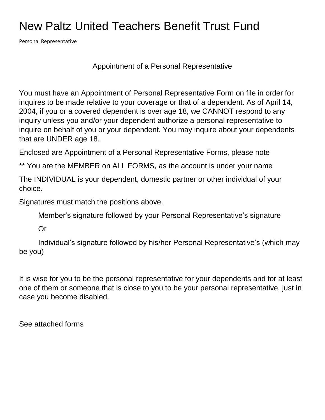### New Paltz United Teachers Benefit Trust Fund

Personal Representative

Appointment of a Personal Representative

You must have an Appointment of Personal Representative Form on file in order for inquires to be made relative to your coverage or that of a dependent. As of April 14, 2004, if you or a covered dependent is over age 18, we CANNOT respond to any inquiry unless you and/or your dependent authorize a personal representative to inquire on behalf of you or your dependent. You may inquire about your dependents that are UNDER age 18.

Enclosed are Appointment of a Personal Representative Forms, please note

\*\* You are the MEMBER on ALL FORMS, as the account is under your name

The INDIVIDUAL is your dependent, domestic partner or other individual of your choice.

Signatures must match the positions above.

Member's signature followed by your Personal Representative's signature

Or

Individual's signature followed by his/her Personal Representative's (which may be you)

It is wise for you to be the personal representative for your dependents and for at least one of them or someone that is close to you to be your personal representative, just in case you become disabled.

See attached forms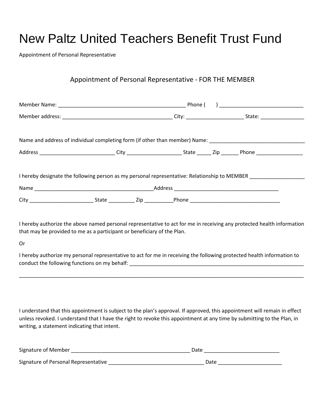## New Paltz United Teachers Benefit Trust Fund

Appointment of Personal Representative

#### Appointment of Personal Representative - FOR THE MEMBER

| Name and address of individual completing form (if other than member) Name: ________________________                                                                                                            |  |  |  |  |  |
|-----------------------------------------------------------------------------------------------------------------------------------------------------------------------------------------------------------------|--|--|--|--|--|
|                                                                                                                                                                                                                 |  |  |  |  |  |
| I hereby designate the following person as my personal representative: Relationship to MEMBER<br>City ______________________________State ______________Zip ______________Phone _______________________________ |  |  |  |  |  |

I hereby authorize the above named personal representative to act for me in receiving any protected health information that may be provided to me as a participant or beneficiary of the Plan.

Or

I hereby authorize my personal representative to act for me in receiving the following protected health information to conduct the following functions on my behalf: \_\_\_\_\_\_\_\_\_\_\_\_\_\_\_\_\_\_\_\_\_\_\_\_\_\_\_\_\_\_\_\_\_\_\_

\_\_\_\_\_\_\_\_\_\_\_\_\_\_\_\_\_\_\_\_\_\_\_\_\_\_\_\_\_\_\_\_\_\_\_\_\_\_\_\_\_\_\_\_\_\_\_\_\_\_\_\_\_\_\_\_\_\_\_\_\_\_\_\_\_\_\_\_\_\_\_\_\_\_\_\_\_\_\_\_\_\_\_\_\_\_\_\_\_\_\_\_\_\_\_\_\_\_

I understand that this appointment is subject to the plan's approval. If approved, this appointment will remain in effect unless revoked. I understand that I have the right to revoke this appointment at any time by submitting to the Plan, in writing, a statement indicating that intent.

| Signature of Member                  | Date |
|--------------------------------------|------|
| Signature of Personal Representative | Date |